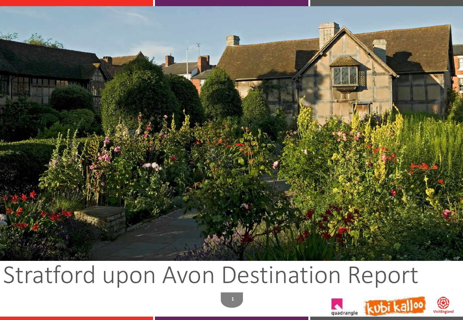

# Stratford upon Avon Destination Report



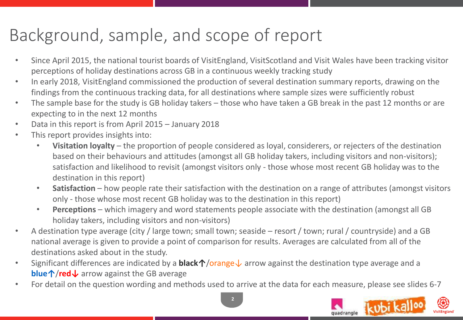### Background, sample, and scope of report

- Since April 2015, the national tourist boards of VisitEngland, VisitScotland and Visit Wales have been tracking visitor perceptions of holiday destinations across GB in a continuous weekly tracking study
- In early 2018, VisitEngland commissioned the production of several destination summary reports, drawing on the findings from the continuous tracking data, for all destinations where sample sizes were sufficiently robust
- The sample base for the study is GB holiday takers those who have taken a GB break in the past 12 months or are expecting to in the next 12 months
- Data in this report is from April 2015 January 2018
- This report provides insights into:
	- **Visitation loyalty**  the proportion of people considered as loyal, considerers, or rejecters of the destination based on their behaviours and attitudes (amongst all GB holiday takers, including visitors and non-visitors); satisfaction and likelihood to revisit (amongst visitors only - those whose most recent GB holiday was to the destination in this report)
	- **Satisfaction** how people rate their satisfaction with the destination on a range of attributes (amongst visitors only - those whose most recent GB holiday was to the destination in this report)
	- **Perceptions** which imagery and word statements people associate with the destination (amongst all GB holiday takers, including visitors and non-visitors)
- A destination type average (city / large town; small town; seaside resort / town; rural / countryside) and a GB national average is given to provide a point of comparison for results. Averages are calculated from all of the destinations asked about in the study.
- Significant differences are indicated by a **black↑**/orange↓ arrow against the destination type average and a **blue↑**/**red↓** arrow against the GB average
- For detail on the question wording and methods used to arrive at the data for each measure, please see slides 6-7



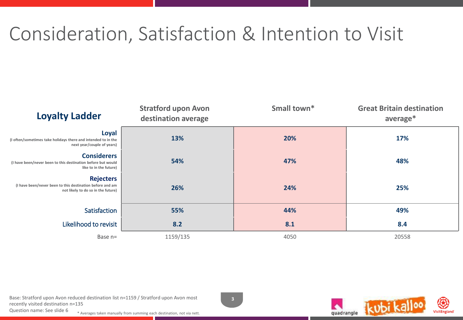## Consideration, Satisfaction & Intention to Visit

| <b>Loyalty Ladder</b>                                                                                               | <b>Stratford upon Avon</b><br>destination average | Small town* | <b>Great Britain destination</b><br>average* |  |
|---------------------------------------------------------------------------------------------------------------------|---------------------------------------------------|-------------|----------------------------------------------|--|
| Loyal<br>(I often/sometimes take holidays there and intended to in the<br>next year/couple of years)                | 13%                                               | 20%         | 17%                                          |  |
| <b>Considerers</b><br>(I have been/never been to this destination before but would<br>like to in the future)        | 54%                                               | 47%         | 48%                                          |  |
| <b>Rejecters</b><br>(I have been/never been to this destination before and am<br>not likely to do so in the future) | 26%                                               | 24%         | 25%                                          |  |
| Satisfaction                                                                                                        | 55%                                               | 44%         | 49%                                          |  |
| Likelihood to revisit                                                                                               | 8.2                                               | 8.1         | 8.4                                          |  |
| Base n=                                                                                                             | 1159/135                                          | 4050        | 20558                                        |  |

Base: Stratford upon Avon reduced destination list n=1159 / Stratford upon Avon most recently visited destination n=135

**3**





Question name: See slide 6 \* Averages taken manually from summing each destination, not via nett.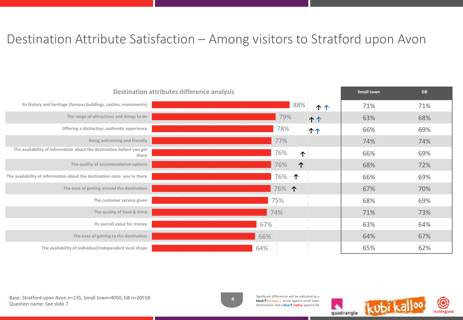#### Destination Attribute Satisfaction – Among visitors to Stratford upon Avon

| <b>Destination attributes difference analysis</b>                             | <b>Small town</b> | <b>GB</b> |     |     |
|-------------------------------------------------------------------------------|-------------------|-----------|-----|-----|
| Its history and heritage (famous buildings, castles, monuments)               | 88%               | ተ ተ       | 71% | 71% |
| The range of attractions and things to do                                     | 79%               | <b>11</b> | 63% | 68% |
| Offering a distinctive, authentic experience                                  | 78%               | <b>11</b> | 66% | 69% |
| Being welcoming and friendly                                                  | 77%               |           | 74% | 74% |
| The availability of information about the destination before you get<br>there | 76%<br>1          |           | 66% | 69% |
| The quality of accommodation options                                          | 76%<br>个          |           | 68% | 72% |
| The availability of information about the destination once you're there       | 76%<br>个          |           | 66% | 69% |
| The ease of getting around the destination                                    | 76% 个             |           | 67% | 70% |
| The customer service given                                                    | 75%               |           | 68% | 69% |
| The quality of food & drink                                                   | 74%               |           | 71% | 73% |
| Its overall value for money                                                   | 67%               |           | 63% | 64% |
| The ease of getting to the destination                                        | 66%               |           | 64% | 67% |
| The availability of individual/independent local shops                        | 64%               |           | 65% | 62% |

Base: Stratford upon Avon n=135, Small town=4050, GB n=20558 Question name: See slide 7



Significant differences will be indicated by a **black↑**/orange↓ arrow against small town destinations and a **blue↑**/**red↓** against GB

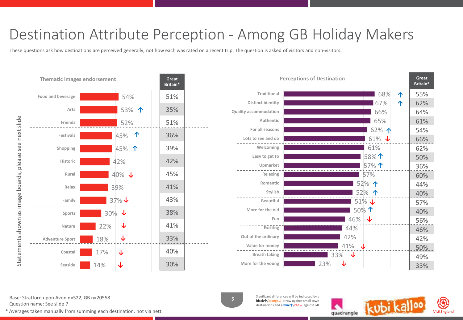### Destination Attribute Perception - Among GB Holiday Makers

These questions ask how destinations are perceived generally, not how each was rated on a recent trip. The question is asked of visitors and non-visitors.





Base: Stratford upon Avon n=522, GB n=20558 Question name: See slide 7

Significant differences will be indicated by a **black↑/orange↓** arrow against small town destinations and a **blue↑**/**red↓** against GB



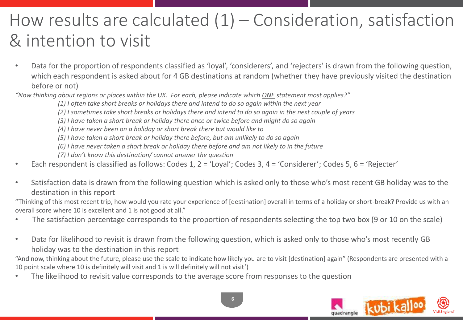### How results are calculated  $(1)$  – Consideration, satisfaction & intention to visit

• Data for the proportion of respondents classified as 'loyal', 'considerers', and 'rejecters' is drawn from the following question, which each respondent is asked about for 4 GB destinations at random (whether they have previously visited the destination before or not)

*"Now thinking about regions or places within the UK. For each, please indicate which ONE statement most applies?"*

*(1) I often take short breaks or holidays there and intend to do so again within the next year*

- *(2) I sometimes take short breaks or holidays there and intend to do so again in the next couple of years*
- *(3) I have taken a short break or holiday there once or twice before and might do so again*

*(4) I have never been on a holiday or short break there but would like to*

*(5) I have taken a short break or holiday there before, but am unlikely to do so again*

*(6) I have never taken a short break or holiday there before and am not likely to in the future*

*(7) I don't know this destination/ cannot answer the question*

- Each respondent is classified as follows: Codes 1, 2 = 'Loyal'; Codes 3, 4 = 'Considerer'; Codes 5, 6 = 'Rejecter'
- Satisfaction data is drawn from the following question which is asked only to those who's most recent GB holiday was to the destination in this report

"Thinking of this most recent trip, how would you rate your experience of [destination] overall in terms of a holiday or short-break? Provide us with an overall score where 10 is excellent and 1 is not good at all."

- The satisfaction percentage corresponds to the proportion of respondents selecting the top two box (9 or 10 on the scale)
- Data for likelihood to revisit is drawn from the following question, which is asked only to those who's most recently GB holiday was to the destination in this report

"And now, thinking about the future, please use the scale to indicate how likely you are to visit [destination] again" (Respondents are presented with a 10 point scale where 10 is definitely will visit and 1 is will definitely will not visit')

• The likelihood to revisit value corresponds to the average score from responses to the question